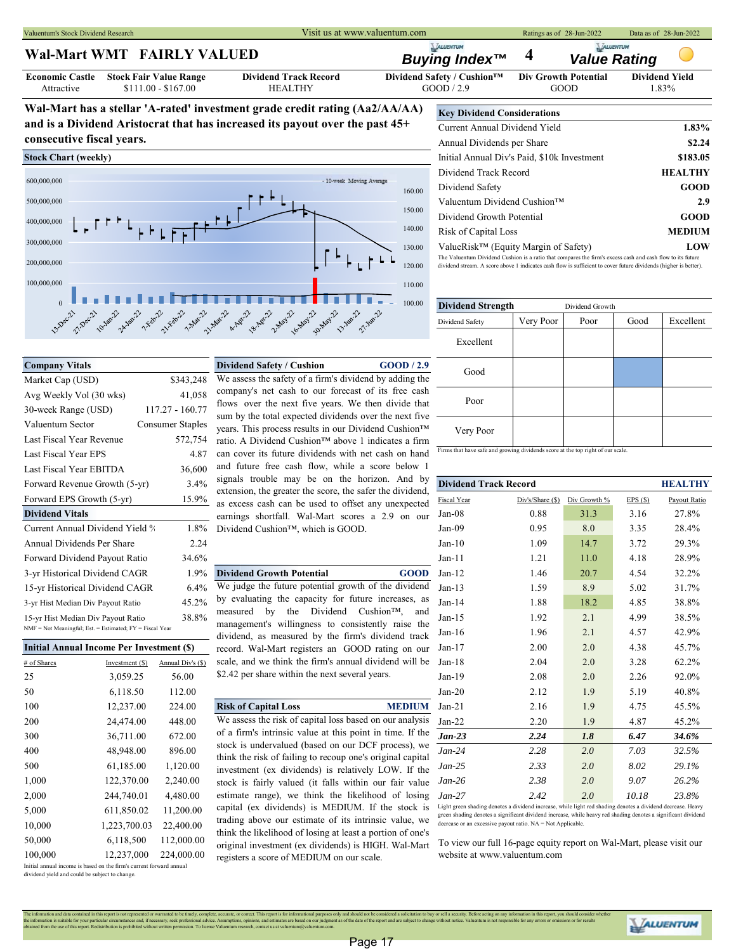Valuentum's Stock Dividend Research **Ratings as of 28-Jun-2022** Data as of 28-Jun-2022 Data as of 28-Jun-2022

### **Wal-Mart WMT FAIRLY VALUED**

| <b>Economic Castle</b> |  |  |  |  |
|------------------------|--|--|--|--|
| Attractive             |  |  |  |  |

# *Buying Index™* **4** *Value Rating*

\$111.00 - \$167.00 **HEALTHY** GOOD / 2.9 GOOD 1.83% **Stock Fair Value Range Dividend Track Record Dividend Safety / Cushion™ Div Growth Potential Dividend Yield**

**Wal-Mart has a stellar 'A-rated' investment grade credit rating (Aa2/AA/AA) and is a Dividend Aristocrat that has increased its payout over the past 45+ consecutive fiscal years.**

### **Stock Chart (weekly)**



| <b>Key Dividend Considerations</b>                                                                         |                |
|------------------------------------------------------------------------------------------------------------|----------------|
| Current Annual Dividend Yield                                                                              | 1.83%          |
| Annual Dividends per Share                                                                                 | \$2.24         |
| Initial Annual Div's Paid, \$10k Investment                                                                | \$183.05       |
| Dividend Track Record                                                                                      | <b>HEALTHY</b> |
| Dividend Safety                                                                                            | <b>GOOD</b>    |
| Valuentum Dividend Cushion™                                                                                | 2.9            |
| Dividend Growth Potential                                                                                  | GOOD           |
| <b>Risk of Capital Loss</b>                                                                                | <b>MEDIUM</b>  |
| ValueRisk™ (Equity Margin of Safety)                                                                       | LOW            |
| The Valuentum Dividend Cushion is a ratio that compares the firm's excess cash and cash flow to its future |                |

nd stream. A score above 1 indicates cash flow is sufficient to cover future dividends (higher is better).

| <b>Dividend Strength</b> |           | Dividend Growth |      |           |
|--------------------------|-----------|-----------------|------|-----------|
| Dividend Safety          | Very Poor | Poor            | Good | Excellent |
| Excellent                |           |                 |      |           |
| Good                     |           |                 |      |           |
| Poor                     |           |                 |      |           |
| Very Poor                |           |                 |      |           |

| 3.4%<br>Forward Revenue Growth (5-yr)                    |                 |                   | signals trouble may be on the horizon. And by                                                                          | <b>Dividend Track Record</b> |                  |              | <b>HEALTHY</b> |              |
|----------------------------------------------------------|-----------------|-------------------|------------------------------------------------------------------------------------------------------------------------|------------------------------|------------------|--------------|----------------|--------------|
| Forward EPS Growth (5-yr)                                |                 | 15.9%             | extension, the greater the score, the safer the dividend,<br>as excess cash can be used to offset any unexpected       | Fiscal Year                  | Div's/Share (\$) | Div Growth % | EPS(S)         | Payout Ratio |
| <b>Dividend Vitals</b>                                   |                 |                   | earnings shortfall. Wal-Mart scores a 2.9 on our                                                                       | Jan-08                       | 0.88             | 31.3         | 3.16           | 27.8%        |
| Current Annual Dividend Yield %                          |                 | 1.8%              | Dividend Cushion <sup>™</sup> , which is GOOD.                                                                         | $Jan-09$                     | 0.95             | 8.0          | 3.35           | 28.4%        |
| Annual Dividends Per Share                               |                 | 2.24              |                                                                                                                        | $Jan-10$                     | 1.09             | 14.7         | 3.72           | 29.3%        |
| Forward Dividend Payout Ratio                            |                 | 34.6%             |                                                                                                                        | $Jan-11$                     | 1.21             | 11.0         | 4.18           | 28.9%        |
| 3-yr Historical Dividend CAGR                            |                 | 1.9%              | <b>Dividend Growth Potential</b><br><b>GOOD</b>                                                                        | $Jan-12$                     | 1.46             | 20.7         | 4.54           | 32.2%        |
| 15-yr Historical Dividend CAGR                           |                 | 6.4%              | We judge the future potential growth of the dividend                                                                   | $Jan-13$                     | 1.59             | 8.9          | 5.02           | 31.7%        |
| 3-yr Hist Median Div Payout Ratio                        |                 | 45.2%             | by evaluating the capacity for future increases, as                                                                    | $Jan-14$                     | 1.88             | 18.2         | 4.85           | 38.8%        |
| 15-yr Hist Median Div Payout Ratio                       |                 | 38.8%             | the Dividend<br>$C$ ushion <sup>TM</sup> ,<br>measured by<br>and<br>management's willingness to consistently raise the | $Jan-15$                     | 1.92             | 2.1          | 4.99           | 38.5%        |
| NMF = Not Meaningful; Est. = Estimated; FY = Fiscal Year |                 |                   | dividend, as measured by the firm's dividend track                                                                     | $Jan-16$                     | 1.96             | 2.1          | 4.57           | 42.9%        |
| <b>Initial Annual Income Per Investment (\$)</b>         |                 |                   | record. Wal-Mart registers an GOOD rating on our                                                                       | $Jan-17$                     | 2.00             | 2.0          | 4.38           | 45.7%        |
| # of Shares                                              | Investment (\$) | Annual Div's (\$) | scale, and we think the firm's annual dividend will be                                                                 | $Jan-18$                     | 2.04             | 2.0          | 3.28           | 62.2%        |
| 25                                                       | 3,059.25        | 56.00             | \$2.42 per share within the next several years.                                                                        | $Jan-19$                     | 2.08             | 2.0          | 2.26           | 92.0%        |
| 50                                                       | 6,118.50        | 112.00            |                                                                                                                        | $Jan-20$                     | 2.12             | 1.9          | 5.19           | 40.8%        |
| 100                                                      | 12,237.00       | 224.00            | <b>Risk of Capital Loss</b><br><b>MEDIUM</b>                                                                           | $Jan-21$                     | 2.16             | 1.9          | 4.75           | 45.5%        |
| 200                                                      | 24,474.00       | 448.00            | We assess the risk of capital loss based on our analysis                                                               | $Jan-22$                     | 2.20             | 1.9          | 4.87           | 45.2%        |
| 300                                                      | 36,711.00       | 672.00            | of a firm's intrinsic value at this point in time. If the                                                              | $Jan-23$                     | 2.24             | 1.8          | 6.47           | 34.6%        |
| 400                                                      | 48,948.00       | 896.00            | stock is undervalued (based on our DCF process), we<br>think the risk of failing to recoup one's original capital      | $Jan-24$                     | 2.28             | 2.0          | 7.03           | 32.5%        |
| 500                                                      | 61,185.00       | 1,120.00          | investment (ex dividends) is relatively LOW. If the                                                                    | $Jan-25$                     | 2.33             | 2.0          | 8.02           | 29.1%        |
| 1,000                                                    | 122,370.00      | 2,240.00          | stock is fairly valued (it falls within our fair value                                                                 | $Jan-26$                     | 2.38             | 2.0          | 9.07           | 26.2%        |
| 2,000                                                    | 244,740.01      | 4,480.00          | estimate range), we think the likelihood of losing                                                                     | $Jan-27$                     | 2.42             | 2.0          | 10.18          | 23.8%        |

Light green shading denotes a dividend increase, while light red shading denotes a dividend decrease. Heavy green shading denotes a significant dividend increase, while heavy red shading denotes a significant divide decrease or an excessive payout ratio. NA = Not Applicable.

To view our full 16-page equity report on Wal-Mart, please visit our website at www.valuentum.com

Avg Weekly Vol (30 wks) 41,058 30-week Range (USD) 117.27 - 160.77 Valuentum Sector Consumer Staples Last Fiscal Year Revenue 572,754 Last Fiscal Year EBITDA 36,600 Forward Revenue Growth (5-yr)  $3.4\%$ Annual Dividends Per Share 2.24 Forward Dividend Payout Ratio 34.6% 15-yr Hist Median Div Payout Ratio 38.8%<br>NMF = Not Meaningful; Est. = Estimated; FY = Fiscal Year

| Initial Annual Income Per Investment (\$)                           |                 |                   |  |  |  |
|---------------------------------------------------------------------|-----------------|-------------------|--|--|--|
| # of Shares                                                         | Investment (\$) | Annual Div's (\$) |  |  |  |
| 25                                                                  | 3,059.25        | 56.00             |  |  |  |
| 50                                                                  | 6,118.50        | 112.00            |  |  |  |
| 100                                                                 | 12,237.00       | 224.00            |  |  |  |
| 200                                                                 | 24,474.00       | 448.00            |  |  |  |
| 300                                                                 | 36,711.00       | 672.00            |  |  |  |
| 400                                                                 | 48,948.00       | 896.00            |  |  |  |
| 500                                                                 | 61,185.00       | 1,120.00          |  |  |  |
| 1,000                                                               | 122,370.00      | 2,240.00          |  |  |  |
| 2,000                                                               | 244,740.01      | 4,480.00          |  |  |  |
| 5,000                                                               | 611,850.02      | 11,200.00         |  |  |  |
| 10,000                                                              | 1,223,700.03    | 22,400.00         |  |  |  |
| 50,000                                                              | 6,118,500       | 112,000.00        |  |  |  |
| 100,000                                                             | 12,237,000      | 224,000.00        |  |  |  |
| Initial annual income is based on the firm's current forward annual |                 |                   |  |  |  |

dividend yield and could be subject to change

**Company Vitals Dividend Safety / Cushion GOOD / 2.9** Market Cap (USD) \$343,248 Last Fiscal Year EPS 4.87 can cover its future dividends with net cash on hand Firms that have safe and growing dividends score at the top right of our scale. We assess the safety of a firm's dividend by adding the company's net cash to our forecast of its free cash flows over the next five years. We then divide that sum by the total expected dividends over the next five years. This process results in our Dividend Cushion™ ratio. A Dividend Cushion™ above 1 indicates a firm and future free cash flow, while a score below 1 signals trouble may be on the horizon. And by extension, the greater the score, the safer the dividend,

# 3-yr Historical Dividend CAGR 1.9% **Dividend Growth Potential GOOD** measured by the Dividend Cushion™, and management's willingness to consistently raise the

100 12,237.00 224.00 **Risk of Capital Loss MEDIUM** Jan-21 2.16 1.9 4.75 45.5% stock is undervalued (based on our DCF process), we capital (ex dividends) is MEDIUM. If the stock is trading above our estimate of its intrinsic value, we think the likelihood of losing at least a portion of one's original investment (ex dividends) is HIGH. Wal-Mart registers a score of MEDIUM on our scale.

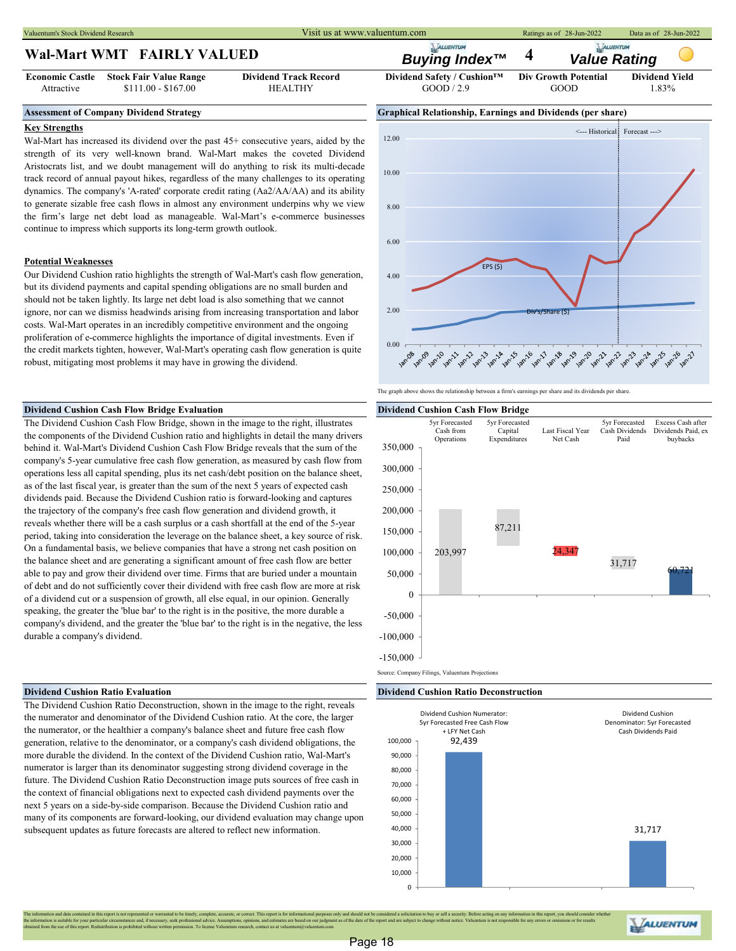Valuentum's Stock Dividend Research **Ratings as of 28-Jun-2022** Data as of 28-Jun-2022 Data as of 28-Jun-2022

## **Wal-Mart WMT FAIRLY VALUED**

**Economic Castle** Attractive

#### **Key Strengths**

Wal-Mart has increased its dividend over the past 45+ consecutive years, aided by the strength of its very well-known brand. Wal-Mart makes the coveted Dividend Aristocrats list, and we doubt management will do anything to risk its multi-decade track record of annual payout hikes, regardless of the many challenges to its operating dynamics. The company's 'A-rated' corporate credit rating (Aa2/AA/AA) and its ability to generate sizable free cash flows in almost any environment underpins why we view the firm's large net debt load as manageable. Wal-Mart's e-commerce businesses continue to impress which supports its long-term growth outlook.

#### **Potential Weaknesses**

Our Dividend Cushion ratio highlights the strength of Wal-Mart's cash flow generation, but its dividend payments and capital spending obligations are no small burden and should not be taken lightly. Its large net debt load is also something that we cannot ignore, nor can we dismiss headwinds arising from increasing transportation and labor costs. Wal-Mart operates in an incredibly competitive environment and the ongoing proliferation of e-commerce highlights the importance of digital investments. Even if the credit markets tighten, however, Wal-Mart's operating cash flow generation is quite robust, mitigating most problems it may have in growing the dividend.

#### **Dividend Cushion Cash Flow Bridge Evaluation Dividend Cushion Cash Flow Bridge**

The Dividend Cushion Cash Flow Bridge, shown in the image to the right, illustrates the components of the Dividend Cushion ratio and highlights in detail the many drivers behind it. Wal-Mart's Dividend Cushion Cash Flow Bridge reveals that the sum of the company's 5-year cumulative free cash flow generation, as measured by cash flow from operations less all capital spending, plus its net cash/debt position on the balance sheet, as of the last fiscal year, is greater than the sum of the next 5 years of expected cash dividends paid. Because the Dividend Cushion ratio is forward-looking and captures the trajectory of the company's free cash flow generation and dividend growth, it reveals whether there will be a cash surplus or a cash shortfall at the end of the 5-year period, taking into consideration the leverage on the balance sheet, a key source of risk. On a fundamental basis, we believe companies that have a strong net cash position on the balance sheet and are generating a significant amount of free cash flow are better able to pay and grow their dividend over time. Firms that are buried under a mountain of debt and do not sufficiently cover their dividend with free cash flow are more at risk of a dividend cut or a suspension of growth, all else equal, in our opinion. Generally speaking, the greater the 'blue bar' to the right is in the positive, the more durable a company's dividend, and the greater the 'blue bar' to the right is in the negative, the less durable a company's dividend.

The Dividend Cushion Ratio Deconstruction, shown in the image to the right, reveals the numerator and denominator of the Dividend Cushion ratio. At the core, the larger the numerator, or the healthier a company's balance sheet and future free cash flow generation, relative to the denominator, or a company's cash dividend obligations, the more durable the dividend. In the context of the Dividend Cushion ratio, Wal-Mart's numerator is larger than its denominator suggesting strong dividend coverage in the future. The Dividend Cushion Ratio Deconstruction image puts sources of free cash in the context of financial obligations next to expected cash dividend payments over the next 5 years on a side-by-side comparison. Because the Dividend Cushion ratio and many of its components are forward-looking, our dividend evaluation may change upon subsequent updates as future forecasts are altered to reflect new information.



*Buying Index™* **4** *Value Rating*

The graph above shows the relationship between a firm's earnings per share and its dividends per share



#### **Dividend Cushion Ratio Evaluation Dividend Cushion Ratio Deconstruction**



ALUENTUM

tained in this report is not represented or warranted to be timely, complete, accurate, or correct. This report is for informational purposes only and should not be considered a solicitation to buy or sell a security. Befo the information is suitable for your particular circumstances and, if necessary, seek professional advice. Assumptions, opinions of the due of the due of the report and are subject to change without notice. Valuentum is no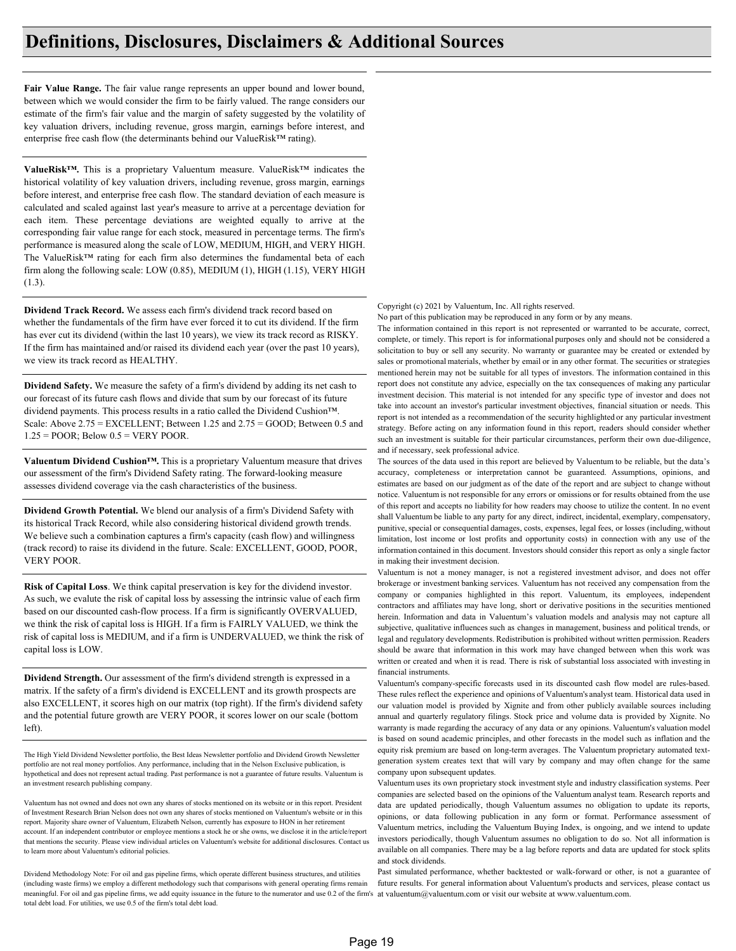## **Definitions, Disclosures, Disclaimers & Additional Sources**

**Fair Value Range.** The fair value range represents an upper bound and lower bound, between which we would consider the firm to be fairly valued. The range considers our estimate of the firm's fair value and the margin of safety suggested by the volatility of key valuation drivers, including revenue, gross margin, earnings before interest, and enterprise free cash flow (the determinants behind our ValueRisk™ rating).

**ValueRisk™.** This is a proprietary Valuentum measure. ValueRisk™ indicates the historical volatility of key valuation drivers, including revenue, gross margin, earnings before interest, and enterprise free cash flow. The standard deviation of each measure is calculated and scaled against last year's measure to arrive at a percentage deviation for each item. These percentage deviations are weighted equally to arrive at the corresponding fair value range for each stock, measured in percentage terms. The firm's performance is measured along the scale of LOW, MEDIUM, HIGH, and VERY HIGH. The ValueRisk™ rating for each firm also determines the fundamental beta of each firm along the following scale: LOW (0.85), MEDIUM (1), HIGH (1.15), VERY HIGH  $(1.3)$ .

**Dividend Track Record.** We assess each firm's dividend track record based on whether the fundamentals of the firm have ever forced it to cut its dividend. If the firm has ever cut its dividend (within the last 10 years), we view its track record as RISKY. If the firm has maintained and/or raised its dividend each year (over the past 10 years), we view its track record as HEALTHY.

**Dividend Safety.** We measure the safety of a firm's dividend by adding its net cash to our forecast of its future cash flows and divide that sum by our forecast of its future dividend payments. This process results in a ratio called the Dividend Cushion™. Scale: Above 2.75 = EXCELLENT; Between 1.25 and 2.75 = GOOD; Between 0.5 and  $1.25 = POOR$ ; Below  $0.5 = VERY POOR$ .

**Valuentum Dividend Cushion™.** This is a proprietary Valuentum measure that drives our assessment of the firm's Dividend Safety rating. The forward-looking measure assesses dividend coverage via the cash characteristics of the business.

**Dividend Growth Potential.** We blend our analysis of a firm's Dividend Safety with its historical Track Record, while also considering historical dividend growth trends. We believe such a combination captures a firm's capacity (cash flow) and willingness (track record) to raise its dividend in the future. Scale: EXCELLENT, GOOD, POOR, VERY POOR.

**Risk of Capital Loss**. We think capital preservation is key for the dividend investor. As such, we evalute the risk of capital loss by assessing the intrinsic value of each firm based on our discounted cash-flow process. If a firm is significantly OVERVALUED, we think the risk of capital loss is HIGH. If a firm is FAIRLY VALUED, we think the risk of capital loss is MEDIUM, and if a firm is UNDERVALUED, we think the risk of capital loss is LOW.

**Dividend Strength.** Our assessment of the firm's dividend strength is expressed in a matrix. If the safety of a firm's dividend is EXCELLENT and its growth prospects are also EXCELLENT, it scores high on our matrix (top right). If the firm's dividend safety and the potential future growth are VERY POOR, it scores lower on our scale (bottom left).

The High Yield Dividend Newsletter portfolio, the Best Ideas Newsletter portfolio and Dividend Growth Newsletter portfolio are not real money portfolios. Any performance, including that in the Nelson Exclusive publication, is hypothetical and does not represent actual trading. Past performance is not a guarantee of future results. Valuentum is an investment research publishing company.

Valuentum has not owned and does not own any shares of stocks mentioned on its website or in this report. President of Investment Research Brian Nelson does not own any shares of stocks mentioned on Valuentum's website or in this report. Majority share owner of Valuentum, Elizabeth Nelson, currently has exposure to HON in her retirement account. If an independent contributor or employee mentions a stock he or she owns, we disclose it in the article/report that mentions the security. Please view individual articles on Valuentum's website for additional disclosures. Contact us to learn more about Valuentum's editorial policies.

meaningful. For oil and gas pipeline firms, we add equity issuance in the future to the numerator and use 0.2 of the firm's at valuentum@valuentum.com or visit our website at www.valuentum.com. Dividend Methodology Note: For oil and gas pipeline firms, which operate different business structures, and utilities (including waste firms) we employ a different methodology such that comparisons with general operating firms remain total debt load. For utilities, we use 0.5 of the firm's total debt load.

Copyright (c) 2021 by Valuentum, Inc. All rights reserved.

No part of this publication may be reproduced in any form or by any means.

The information contained in this report is not represented or warranted to be accurate, correct, complete, or timely. This report is for informational purposes only and should not be considered a solicitation to buy or sell any security. No warranty or guarantee may be created or extended by sales or promotional materials, whether by email or in any other format. The securities or strategies mentioned herein may not be suitable for all types of investors. The information contained in this report does not constitute any advice, especially on the tax consequences of making any particular investment decision. This material is not intended for any specific type of investor and does not take into account an investor's particular investment objectives, financial situation or needs. This report is not intended as a recommendation of the security highlighted or any particular investment strategy. Before acting on any information found in this report, readers should consider whether such an investment is suitable for their particular circumstances, perform their own due-diligence, and if necessary, seek professional advice.

The sources of the data used in this report are believed by Valuentum to be reliable, but the data's accuracy, completeness or interpretation cannot be guaranteed. Assumptions, opinions, and estimates are based on our judgment as of the date of the report and are subject to change without notice. Valuentum is not responsible for any errors or omissions or for results obtained from the use of this report and accepts no liability for how readers may choose to utilize the content. In no event shall Valuentum be liable to any party for any direct, indirect, incidental, exemplary, compensatory, punitive, special or consequential damages, costs, expenses, legal fees, or losses (including, without limitation, lost income or lost profits and opportunity costs) in connection with any use of the information contained in this document. Investors should consider this report as only a single factor in making their investment decision.

Valuentum is not a money manager, is not a registered investment advisor, and does not offer brokerage or investment banking services. Valuentum has not received any compensation from the company or companies highlighted in this report. Valuentum, its employees, independent contractors and affiliates may have long, short or derivative positions in the securities mentioned herein. Information and data in Valuentum's valuation models and analysis may not capture all subjective, qualitative influences such as changes in management, business and political trends, or legal and regulatory developments. Redistribution is prohibited without written permission. Readers should be aware that information in this work may have changed between when this work was written or created and when it is read. There is risk of substantial loss associated with investing in financial instruments.

Valuentum's company-specific forecasts used in its discounted cash flow model are rules-based. These rules reflect the experience and opinions of Valuentum's analyst team. Historical data used in our valuation model is provided by Xignite and from other publicly available sources including annual and quarterly regulatory filings. Stock price and volume data is provided by Xignite. No warranty is made regarding the accuracy of any data or any opinions. Valuentum's valuation model is based on sound academic principles, and other forecasts in the model such as inflation and the equity risk premium are based on long-term averages. The Valuentum proprietary automated textgeneration system creates text that will vary by company and may often change for the same company upon subsequent updates.

Valuentum uses its own proprietary stock investment style and industry classification systems. Peer companies are selected based on the opinions of the Valuentum analyst team. Research reports and data are updated periodically, though Valuentum assumes no obligation to update its reports, opinions, or data following publication in any form or format. Performance assessment of Valuentum metrics, including the Valuentum Buying Index, is ongoing, and we intend to update investors periodically, though Valuentum assumes no obligation to do so. Not all information is available on all companies. There may be a lag before reports and data are updated for stock splits and stock dividends.

Past simulated performance, whether backtested or walk-forward or other, is not a guarantee of future results. For general information about Valuentum's products and services, please contact us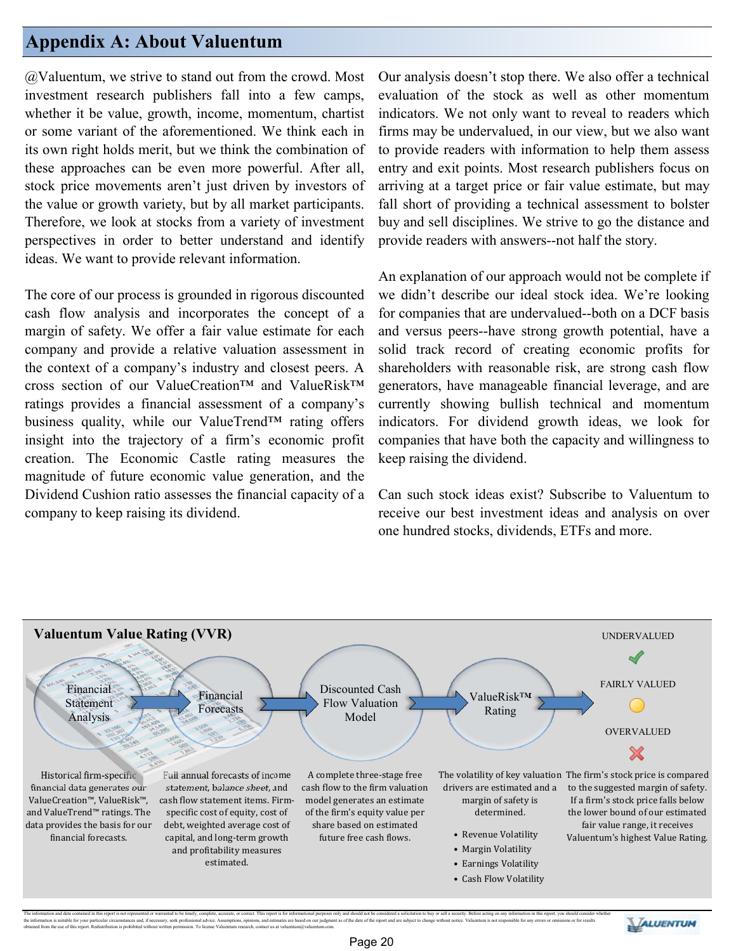## **Appendix A: About Valuentum**

@Valuentum, we strive to stand out from the crowd. Most investment research publishers fall into a few camps, whether it be value, growth, income, momentum, chartist or some variant of the aforementioned. We think each in its own right holds merit, but we think the combination of these approaches can be even more powerful. After all, stock price movements aren't just driven by investors of the value or growth variety, but by all market participants. Therefore, we look at stocks from a variety of investment perspectives in order to better understand and identify ideas. We want to provide relevant information.

The core of our process is grounded in rigorous discounted cash flow analysis and incorporates the concept of a margin of safety. We offer a fair value estimate for each company and provide a relative valuation assessment in the context of a company's industry and closest peers. A cross section of our ValueCreation™ and ValueRisk™ ratings provides a financial assessment of a company's business quality, while our ValueTrend™ rating offers insight into the trajectory of a firm's economic profit creation. The Economic Castle rating measures the magnitude of future economic value generation, and the Dividend Cushion ratio assesses the financial capacity of a company to keep raising its dividend.

Our analysis doesn't stop there. We also offer a technical evaluation of the stock as well as other momentum indicators. We not only want to reveal to readers which firms may be undervalued, in our view, but we also want to provide readers with information to help them assess entry and exit points. Most research publishers focus on arriving at a target price or fair value estimate, but may fall short of providing a technical assessment to bolster buy and sell disciplines. We strive to go the distance and provide readers with answers--not half the story.

An explanation of our approach would not be complete if we didn't describe our ideal stock idea. We're looking for companies that are undervalued--both on a DCF basis and versus peers--have strong growth potential, have a solid track record of creating economic profits for shareholders with reasonable risk, are strong cash flow generators, have manageable financial leverage, and are currently showing bullish technical and momentum indicators. For dividend growth ideas, we look for companies that have both the capacity and willingness to keep raising the dividend.

Can such stock ideas exist? Subscribe to Valuentum to receive our best investment ideas and analysis on over one hundred stocks, dividends, ETFs and more.



The information and data contained in this report is not represented or warranted to be timely, complete, accurate, or correct. This report is for informational purposes only and should not be considered a solicitation to the information is suitable for your particular tricumstances and, if necessary, seek professional advie. Assumptions, opinions onlines are formed as of the date of the coper and are subject to change without notice. Value